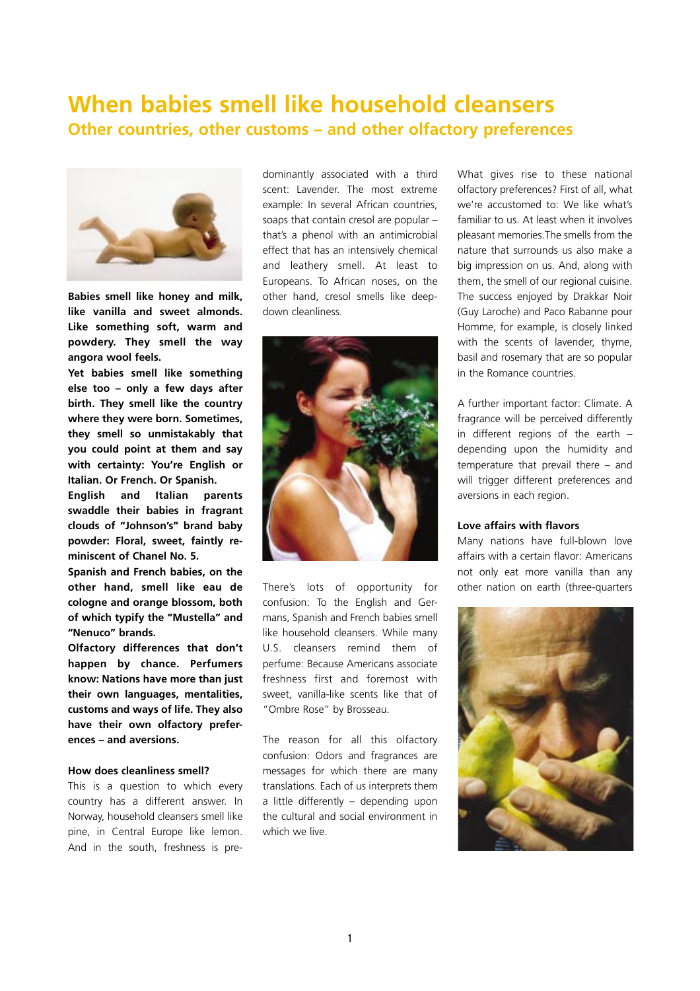## **When babies smell like household cleansers Other countries, other customs – and other olfactory preferences**



**Babies smell like honey and milk, like vanilla and sweet almonds. Like something soft, warm and powdery. They smell the way angora wool feels.**

**Yet babies smell like something else too – only a few days after birth. They smell like the country where they were born. Sometimes, they smell so unmistakably that you could point at them and say with certainty: You're English or Italian. Or French. Or Spanish.**

**English and Italian parents swaddle their babies in fragrant clouds of "Johnson's" brand baby powder: Floral, sweet, faintly reminiscent of Chanel No. 5.** 

**Spanish and French babies, on the other hand, smell like eau de cologne and orange blossom, both of which typify the "Mustella" and "Nenuco" brands.**

**Olfactory differences that don't happen by chance. Perfumers know: Nations have more than just their own languages, mentalities, customs and ways of life. They also have their own olfactory preferences – and aversions.** 

## **How does cleanliness smell?**

This is a question to which every country has a different answer. In Norway, household cleansers smell like pine, in Central Europe like lemon. And in the south, freshness is pre-

dominantly associated with a third scent: Lavender. The most extreme example: In several African countries, soaps that contain cresol are popular – that's a phenol with an antimicrobial effect that has an intensively chemical and leathery smell. At least to Europeans. To African noses, on the other hand, cresol smells like deepdown cleanliness.



There's lots of opportunity for confusion: To the English and Germans, Spanish and French babies smell like household cleansers. While many U.S. cleansers remind them of perfume: Because Americans associate freshness first and foremost with sweet, vanilla-like scents like that of "Ombre Rose" by Brosseau.

The reason for all this olfactory confusion: Odors and fragrances are messages for which there are many translations. Each of us interprets them a little differently – depending upon the cultural and social environment in which we live.

What gives rise to these national olfactory preferences? First of all, what we're accustomed to: We like what's familiar to us. At least when it involves pleasant memories.The smells from the nature that surrounds us also make a big impression on us. And, along with them, the smell of our regional cuisine. The success enjoyed by Drakkar Noir (Guy Laroche) and Paco Rabanne pour Homme, for example, is closely linked with the scents of lavender, thyme, basil and rosemary that are so popular in the Romance countries.

A further important factor: Climate. A fragrance will be perceived differently in different regions of the earth – depending upon the humidity and temperature that prevail there – and will trigger different preferences and aversions in each region.

## **Love affairs with flavors**

Many nations have full-blown love affairs with a certain flavor: Americans not only eat more vanilla than any other nation on earth (three-quarters